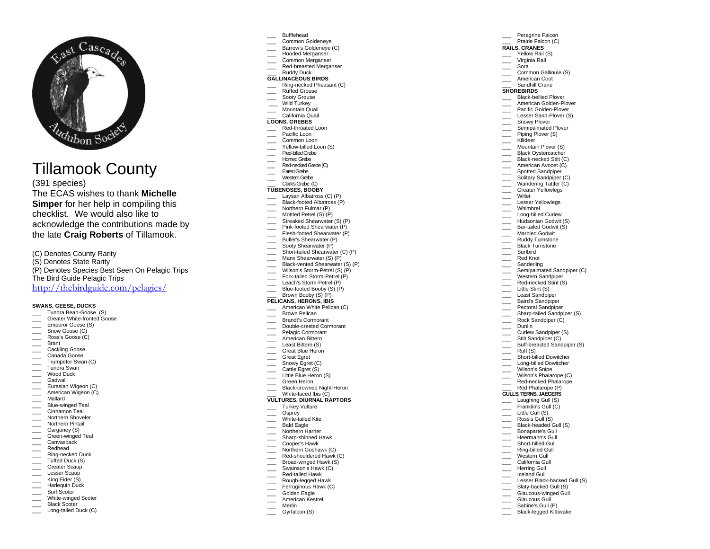

# Tillamook County

(3 9 1 species) The ECAS wishes to thank **Michelle Simper** for her help in compiling this checklist. We would also like to acknowledge the contributions made by the late **Craig Roberts** of Tillamook.

(C) Denotes County Rarity

(S) Denotes State Rarity (P) Denotes Species Best Seen On Pelagic Trips The Bird Guide Pelagic Trips

<http://thebirdguide.com/pelagics/>

## **SWANS, GEESE, DUCKS**

- \_\_\_ Tundra Bean -Goose (S)
- \_\_\_ Greater White -fronted Goose
- \_\_\_ Emperor Goose (S) Snow Goose (C)
- Ross's Goose (C)
- \_\_\_ Brant
- \_\_\_ Cackling Goose
- \_\_\_ Canada Goose
- \_\_ Trumpeter Swan (C)
- \_\_\_ Tundra Swan
- Wood Duck
- \_\_\_ Gadwall
- Eurasian Wigeon (C)
- \_\_\_ American Wigeon (C)
- \_\_\_ Mallard
- \_\_\_ Blue -winged Teal
- Cinnamon Teal **Northern Shoveler**
- \_\_\_ Northern Pintail
- Garganey (S)
- \_\_\_ Green -winged Teal
- \_\_\_ Canvasback
- \_\_\_ Redhead
- \_\_\_ Ring -necked Duck
- Tufted Duck (S)
- \_\_\_ Greater Scaup
- \_\_\_ Lesser Scaup
- \_\_\_ King Eider (S)
- \_\_\_ Harlequin Duck
- Surf Scoter
- \_\_\_ White -winged Scoter
- Black Scoter
- \_\_\_ Long-tailed Duck (C)
- \_\_\_ Bufflehead
- \_\_\_ Common Goldeneye
- Barrow's Goldeneye (C) Hooded Merganser

 $\overline{\phantom{a}}$ 

 $\overline{\phantom{a}}$ 

\_\_\_

\_\_\_ Willet \_\_\_ Lesser Yellowlegs \_\_\_ Whimbrel \_\_\_\_ Long-billed Curlew Hudsonian Godwit (S) \_\_\_ Bar -tailed Godwit (S) \_\_\_ Marbled Godwit Ruddy Turnstone Black Turnstone

\_\_\_ Surfbird Red Knot **Sanderling** 

Dunlin

 $\frac{\ }{\ }$  Ruff (S)

 $\overline{\phantom{a}}$ 

 $\mathcal{L}_{\mathcal{L}}$ 

**Curlew Sandpiper (S)** Stilt Sandpiper (C) \_\_\_ Buff -breasted Sandpiper (S)

\_\_\_ Short -billed Dowitcher \_\_\_ Long -billed Dowitcher Wilson's Snipe \_\_\_ Wilson's Phalarope (C)

Bonaparte's Gull Heermann's Gull \_\_\_\_ Short-billed Gull \_\_\_ Ring -billed Gull Western Gull \_\_\_ California Gull Herring Gull \_\_\_ Iceland Gull

\_\_\_ Lesser Black -backed Gull (S) \_\_\_ Slaty -backed Gull (S) \_\_\_\_ Glaucous-winged Gull Glaucous Gull Sabine's Gull (P) \_\_\_ Black -legged Kittiwake

d -necked Phalarope Red Phalarope (P) **GULLS, TERNS, JAEGERS** Laughing Gull (S) Franklin's Gull (C) Little Gull (S) Ross's Gull (S) \_\_\_ Black -headed Gull (S)

Semipalmated Sandpiper (C) Western Sandpiper \_\_\_ Red -necked Stint (S) Little Stint (S) \_\_\_ Least Sandpiper Baird's Sandpiper Pectoral Sandpiper \_\_\_ Sharp -tailed Sandpiper (S) Rock Sandpiper (C)

Peregrine Falcon Prairie Falcon (C) **RAILS, CRANES** Yellow Rail (S) Virginia Rail \_\_\_ Sora

Common Gallinule (S) American Coot Sandhill Crane **SHOREBIRDS** \_\_\_ Black -bellied Plover \_\_\_ American Golden -Plover \_\_\_ Pacific Golden-Plover \_\_\_ Lesser Sand -Plover (S) Snowy Plover

Semipalmated Plover

Piping Plover (S) Killdeer Mountain Plover (S) Black Oystercatcher \_\_\_ Black -necked Stilt (C) American Avocet (C) Spotted Sandpiper Solitary Sandpiper (C) Wandering Tattler (C) Greater Yellowlegs

- \_\_\_ Common Merganser
- \_\_\_ Red -breasted Merganser
- \_\_\_ Ruddy Duck

# **GALLINACEOUS BIRDS**

- \_\_\_ Ring -necked Pheasant (C) Ruffed Grouse
- $\equiv$  Sooty Grouse
- 
- \_\_\_ Wild Turkey Mountain Quail
- California Quail
- **LOONS, GREBES**
- \_\_\_ Red -throated Loon
- Pacific Loon
- \_\_\_ Common Loon
- \_\_\_ Yellow -billed Loon (S)
- **\_\_\_** Pied -billed Grebe
- \_\_\_ Horned Grebe
- \_\_\_ Red necked Grebe(C)
- \_\_\_ Eared Grebe
- Western Grebe
- \_\_\_ Clark's Grebe(C)
- **TUBENOSES, BOOBY**
- Laysan Albatross (C) (P)
- \_\_\_ Black -footed Albatross (P) \_\_\_ Northern Fulmar (P)
- \_\_\_ Mottled Petrel (S) (P)
- \_\_\_ Streaked Shearwater (S) (P)
- \_\_\_ Pink -footed Shearwater (P)
- \_\_\_ Flesh -footed Shearwater (P)
- \_\_\_ Buller's Shearwater (P)
- Sooty Shearwater (P)
- \_\_\_ Short -tailed Shearwater (C) (P)
- Manx Shearwater (S) (P)
- \_\_\_ Black -vented Shearwater (S) (P)
- \_\_\_ Wilson's Storm -Petrel (S) (P)
- \_\_\_ Fork -tailed Storm -Petrel (P)
- \_\_\_ Leach's Storm -Petrel (P) \_\_\_ Blue -footed Booby (S) (P)
- Brown Booby (S) (P)
- **PELICANS, HERONS, IBIS**
- American White Pelican (C)
- \_\_\_ Brown Pelican
- \_\_\_ Brandt's Cormorant
- \_\_\_ Double -crested Cormorant
- \_\_\_ Pelagic Cormorant American Bittern
- 
- \_\_\_ Least Bittern (S)
- Great Blue Heron Great Egret
- Snowy Egret (C)
- Cattle Egret (S)
- Little Blue Heron (S)
- Green Heron
- \_\_\_ Black-crowned Night-Heron
- \_\_\_ White -faced Ibis (C)
- **VULTURES, DIURNAL RAPTORS**

\_\_\_ Red -shouldered Hawk (C) \_\_\_ Broad -winged Hawk (S) Swainson's Hawk (C) \_\_\_ Red -tailed Hawk \_\_\_ Rough -legged Hawk Ferruginous Hawk (C) Golden Eagle \_\_\_ American Kestrel \_\_\_ Merlin

- \_\_\_ Turkey Vulture
- \_\_\_ Osprey

 $\overline{\phantom{a}}$ 

- \_\_\_ White -tailed Kite
- Bald Eagle \_\_\_ Northern Harrier
- 
- \_\_\_ Sharp -shinned Hawk \_\_\_ Cooper's Hawk
- Northern Goshawk (C)

Gyrfalcon (S)